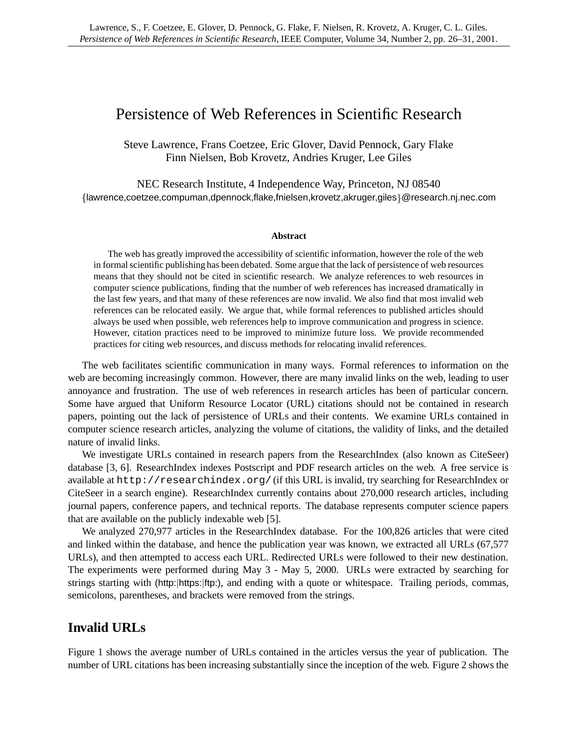# Persistence of Web References in Scientific Research

Steve Lawrence, Frans Coetzee, Eric Glover, David Pennock, Gary Flake Finn Nielsen, Bob Krovetz, Andries Kruger, Lee Giles

NEC Research Institute, 4 Independence Way, Princeton, NJ 08540 lawrence,coetzee,compuman,dpennock,flake,fnielsen,krovetz,akruger,giles @research.nj.nec.com

#### **Abstract**

The web has greatly improved the accessibility of scientific information, however the role of the web in formalscientific publishing has been debated. Some argue that the lack of persistence of web resources means that they should not be cited in scientific research. We analyze references to web resources in computer science publications, finding that the number of web references has increased dramatically in the last few years, and that many of these references are now invalid. We also find that most invalid web references can be relocated easily. We argue that, while formal references to published articles should always be used when possible, web references help to improve communication and progress in science. However, citation practices need to be improved to minimize future loss. We provide recommended practices for citing web resources, and discuss methods for relocating invalid references.

The web facilitates scientific communication in many ways. Formal references to information on the web are becoming increasingly common. However, there are many invalid links on the web, leading to user annoyance and frustration. The use of web references in research articles has been of particular concern. Some have argued that Uniform Resource Locator (URL) citations should not be contained in research papers, pointing out the lack of persistence of URLs and their contents. We examine URLs contained in computer science research articles, analyzing the volume of citations, the validity of links, and the detailed nature of invalid links.

We investigate URLs contained in research papers from the ResearchIndex (also known as CiteSeer) database [3, 6]. ResearchIndex indexes Postscript and PDF research articles on the web. A free service is available at http://researchindex.org/ (if this URL is invalid, try searching for ResearchIndex or CiteSeer in a search engine). ResearchIndex currently contains about 270,000 research articles, including journal papers, conference papers, and technical reports. The database represents computer science papers that are available on the publicly indexable web [5].

We analyzed 270,977 articles in the ResearchIndex database. For the 100,826 articles that were cited and linked within the database, and hence the publication year was known, we extracted all URLs (67,577 URLs), and then attempted to access each URL. Redirected URLs were followed to their new destination. The experiments were performed during May 3 - May 5, 2000. URLs were extracted by searching for strings starting with (http: |https: |ftp:), and ending with a quote or whitespace. Trailing periods, commas, semicolons, parentheses, and brackets were removed from the strings.

# **Invalid URLs**

Figure 1 shows the average number of URLs contained in the articles versus the year of publication. The number of URL citations has been increasing substantially since the inception of the web. Figure 2 shows the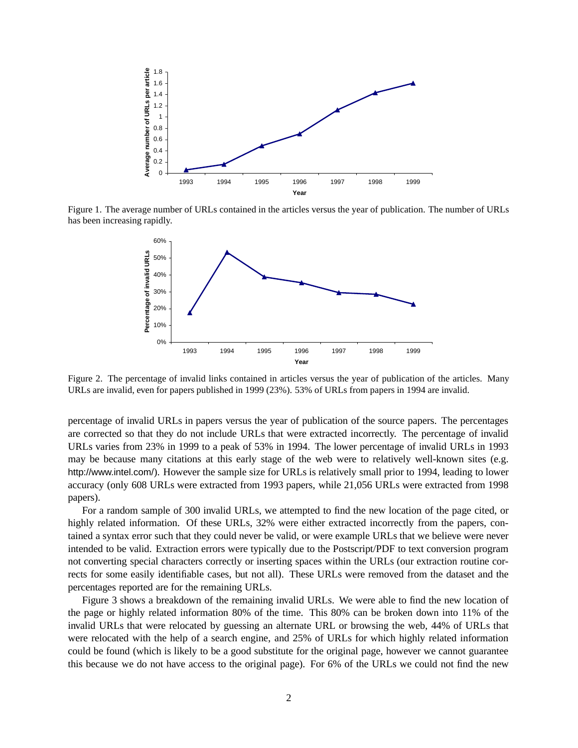

Figure 1. The average number of URLs contained in the articles versus the year of publication. The number of URLs has been increasing rapidly.



Figure 2. The percentage of invalid links contained in articles versus the year of publication of the articles. Many URLs are invalid, even for papers published in 1999 (23%). 53% of URLs from papers in 1994 are invalid.

percentage of invalid URLs in papers versus the year of publication of the source papers. The percentages are corrected so that they do not include URLs that were extracted incorrectly. The percentage of invalid URLs varies from 23% in 1999 to a peak of 53% in 1994. The lower percentage of invalid URLs in 1993 may be because many citations at this early stage of the web were to relatively well-known sites (e.g. http://www.intel.com/). However the sample size for URLs is relatively small prior to 1994, leading to lower accuracy (only 608 URLs were extracted from 1993 papers, while 21,056 URLs were extracted from 1998 papers).

For a random sample of 300 invalid URLs, we attempted to find the new location of the page cited, or highly related information. Of these URLs, 32% were either extracted incorrectly from the papers, contained a syntax error such that they could never be valid, or were example URLs that we believe were never intended to be valid. Extraction errors were typically due to the Postscript/PDF to text conversion program not converting special characters correctly or inserting spaces within the URLs (our extraction routine corrects for some easily identifiable cases, but not all). These URLs were removed from the dataset and the percentages reported are for the remaining URLs.

Figure 3 shows a breakdown of the remaining invalid URLs. We were able to find the new location of the page or highly related information 80% of the time. This 80% can be broken down into 11% of the invalid URLs that were relocated by guessing an alternate URL or browsing the web, 44% of URLs that were relocated with the help of a search engine, and 25% of URLs for which highly related information could be found (which is likely to be a good substitute for the original page, however we cannot guarantee this because we do not have access to the original page). For 6% of the URLs we could not find the new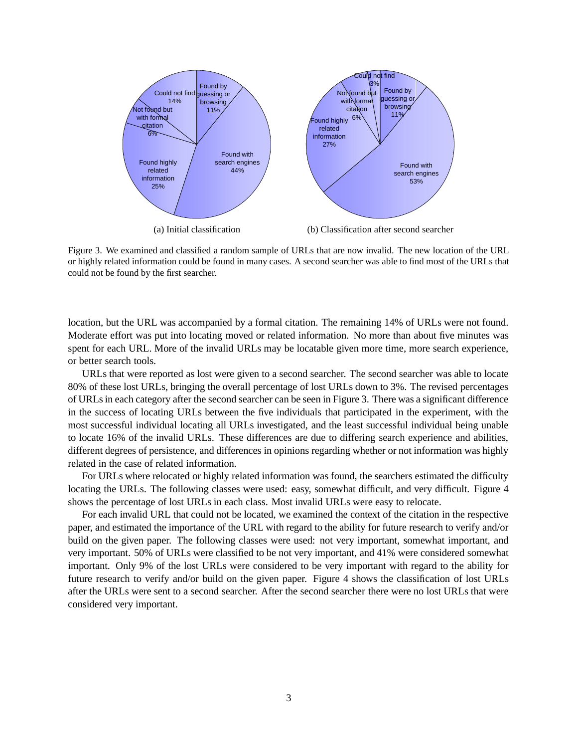

Figure 3. We examined and classified a random sample of URLs that are now invalid. The new location of the URL or highly related information could be found in many cases. A second searcher was able to find most of the URLs that could not be found by the first searcher.

location, but the URL was accompanied by a formal citation. The remaining 14% of URLs were not found. Moderate effort was put into locating moved or related information. No more than about five minutes was spent for each URL. More of the invalid URLs may be locatable given more time, more search experience, or better search tools.

URLs that were reported as lost were given to a second searcher. The second searcher was able to locate 80% of these lost URLs, bringing the overall percentage of lost URLs down to 3%. The revised percentages of URLsin each category after the second searcher can be seen in Figure 3. There was a significant difference in the success of locating URLs between the five individuals that participated in the experiment, with the most successful individual locating all URLs investigated, and the least successful individual being unable to locate 16% of the invalid URLs. These differences are due to differing search experience and abilities, different degrees of persistence, and differences in opinions regarding whether or not information was highly related in the case of related information.

For URLs where relocated or highly related information was found, the searchers estimated the difficulty locating the URLs. The following classes were used: easy, somewhat difficult, and very difficult. Figure 4 shows the percentage of lost URLs in each class. Most invalid URLs were easy to relocate.

For each invalid URL that could not be located, we examined the context of the citation in the respective paper, and estimated the importance of the URL with regard to the ability for future research to verify and/or build on the given paper. The following classes were used: not very important, somewhat important, and very important. 50% of URLs were classified to be not very important, and 41% were considered somewhat important. Only 9% of the lost URLs were considered to be very important with regard to the ability for future research to verify and/or build on the given paper. Figure 4 shows the classification of lost URLs after the URLs were sent to a second searcher. After the second searcher there were no lost URLs that were considered very important.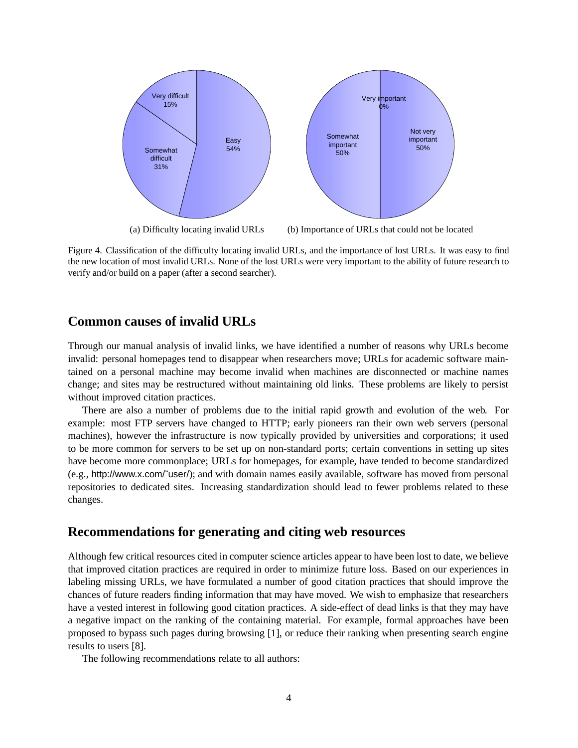

Figure 4. Classification of the difficulty locating invalid URLs, and the importance of lost URLs. It was easy to find the new location of most invalid URLs. None of the lost URLs were very important to the ability of future research to verify and/or build on a paper (after a second searcher).

## **Common causes of invalid URLs**

Through our manual analysis of invalid links, we have identified a number of reasons why URLs become invalid: personal homepages tend to disappear when researchers move; URLs for academic software maintained on a personal machine may become invalid when machines are disconnected or machine names change; and sites may be restructured without maintaining old links. These problems are likely to persist without improved citation practices.

There are also a number of problems due to the initial rapid growth and evolution of the web. For example: most FTP servers have changed to HTTP; early pioneers ran their own web servers (personal machines), however the infrastructure is now typically provided by universities and corporations; it used to be more common for servers to be set up on non-standard ports; certain conventions in setting up sites have become more commonplace; URLs for homepages, for example, have tended to become standardized (e.g., http://www.x.com/˜user/); and with domain names easily available, software has moved from personal repositories to dedicated sites. Increasing standardization should lead to fewer problems related to these changes.

# **Recommendations for generating and citing web resources**

Although few critical resources cited in computer science articles appear to have been lost to date, we believe that improved citation practices are required in order to minimize future loss. Based on our experiences in labeling missing URLs, we have formulated a number of good citation practices that should improve the chances of future readers finding information that may have moved. We wish to emphasize that researchers have a vested interest in following good citation practices. A side-effect of dead links is that they may have a negative impact on the ranking of the containing material. For example, formal approaches have been proposed to bypass such pages during browsing [1], or reduce their ranking when presenting search engine results to users [8].

The following recommendations relate to all authors: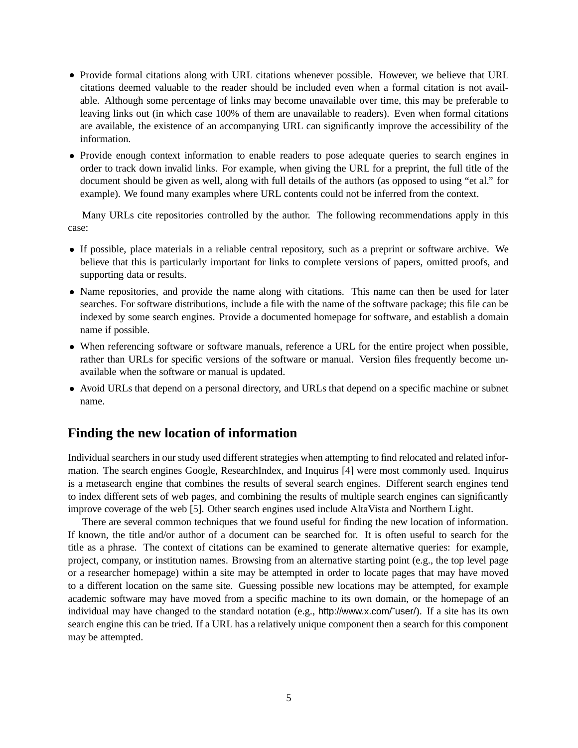- Provide formal citations along with URL citations whenever possible. However, we believe that URL citations deemed valuable to the reader should be included even when a formal citation is not available. Although some percentage of links may become unavailable over time, this may be preferable to leaving links out (in which case 100% of them are unavailable to readers). Even when formal citations are available, the existence of an accompanying URL can significantly improve the accessibility of the information.
- Provide enough context information to enable readers to pose adequate queries to search engines in order to track down invalid links. For example, when giving the URL for a preprint, the full title of the document should be given as well, along with full details of the authors (as opposed to using "et al." for example). We found many examples where URL contents could not be inferred from the context.

Many URLs cite repositories controlled by the author. The following recommendations apply in this case:

- If possible, place materials in a reliable central repository, such as a preprint or software archive. We believe that this is particularly important for links to complete versions of papers, omitted proofs, and supporting data or results.
- Name repositories, and provide the name along with citations. This name can then be used for later searches. For software distributions, include a file with the name of the software package; this file can be indexed by some search engines. Provide a documented homepage for software, and establish a domain name if possible.
- When referencing software or software manuals, reference a URL for the entire project when possible, rather than URLs for specific versions of the software or manual. Version files frequently become unavailable when the software or manual is updated.
- Avoid URLs that depend on a personal directory, and URLs that depend on a specific machine or subnet name.

### **Finding the new location of information**

Individual searchers in our study used different strategies when attempting to find relocated and related information. The search engines Google, ResearchIndex, and Inquirus [4] were most commonly used. Inquirus is a metasearch engine that combines the results of several search engines. Different search engines tend to index different sets of web pages, and combining the results of multiple search engines can significantly improve coverage of the web [5]. Other search engines used include AltaVista and Northern Light.

There are several common techniques that we found useful for finding the new location of information. If known, the title and/or author of a document can be searched for. It is often useful to search for the title as a phrase. The context of citations can be examined to generate alternative queries: for example, project, company, or institution names. Browsing from an alternative starting point (e.g., the top level page or a researcher homepage) within a site may be attempted in order to locate pages that may have moved to a different location on the same site. Guessing possible new locations may be attempted, for example academic software may have moved from a specific machine to its own domain, or the homepage of an individual may have changed to the standard notation (e.g., http://www.x.com/~user/). If a site has its own search engine this can be tried. If a URL has a relatively unique component then a search for this component may be attempted.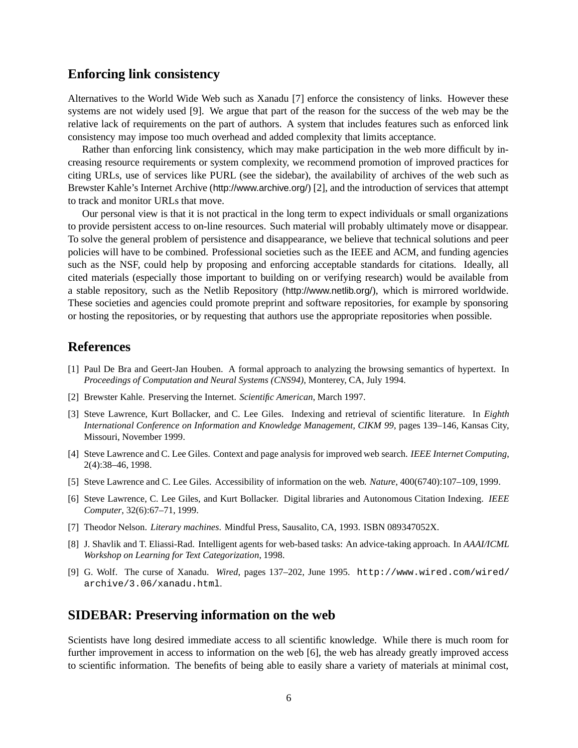#### **Enforcing link consistency**

Alternatives to the World Wide Web such as Xanadu [7] enforce the consistency of links. However these systems are not widely used [9]. We argue that part of the reason for the success of the web may be the relative lack of requirements on the part of authors. A system that includes features such as enforced link consistency may impose too much overhead and added complexity that limits acceptance.

Rather than enforcing link consistency, which may make participation in the web more difficult by increasing resource requirements or system complexity, we recommend promotion of improved practices for citing URLs, use of services like PURL (see the sidebar), the availability of archives of the web such as Brewster Kahle's Internet Archive (http://www.archive.org/) [2], and the introduction of services that attempt to track and monitor URLs that move.

Our personal view is that it is not practical in the long term to expect individuals or small organizations to provide persistent access to on-line resources. Such material will probably ultimately move or disappear. To solve the general problem of persistence and disappearance, we believe that technical solutions and peer policies will have to be combined. Professional societies such as the IEEE and ACM, and funding agencies such as the NSF, could help by proposing and enforcing acceptable standards for citations. Ideally, all cited materials (especially those important to building on or verifying research) would be available from a stable repository, such as the Netlib Repository (http://www.netlib.org/), which is mirrored worldwide. These societies and agencies could promote preprint and software repositories, for example by sponsoring or hosting the repositories, or by requesting that authors use the appropriate repositories when possible.

# **References**

- [1] Paul De Bra and Geert-Jan Houben. A formal approach to analyzing the browsing semantics of hypertext. In *Proceedings of Computation and Neural Systems (CNS94)*, Monterey, CA, July 1994.
- [2] Brewster Kahle. Preserving the Internet. *Scientific American*, March 1997.
- [3] Steve Lawrence, Kurt Bollacker, and C. Lee Giles. Indexing and retrieval of scientific literature. In *Eighth International Conference on Information and Knowledge Management, CIKM 99*, pages 139–146, Kansas City, Missouri, November 1999.
- [4] Steve Lawrence and C. Lee Giles. Context and page analysis for improved web search. *IEEE Internet Computing*, 2(4):38–46, 1998.
- [5] Steve Lawrence and C. Lee Giles. Accessibility of information on the web. *Nature*, 400(6740):107–109, 1999.
- [6] Steve Lawrence, C. Lee Giles, and Kurt Bollacker. Digital libraries and Autonomous Citation Indexing. *IEEE Computer*, 32(6):67–71, 1999.
- [7] Theodor Nelson. *Literary machines*. Mindful Press, Sausalito, CA, 1993. ISBN 089347052X.
- [8] J. Shavlik and T. Eliassi-Rad. Intelligent agents for web-based tasks: An advice-taking approach. In *AAAI/ICML Workshop on Learning for Text Categorization*, 1998.
- [9] G. Wolf. The curse of Xanadu. *Wired*, pages 137–202, June 1995. http://www.wired.com/wired/ archive/3.06/xanadu.html.

#### **SIDEBAR: Preserving information on the web**

Scientists have long desired immediate access to all scientific knowledge. While there is much room for further improvement in access to information on the web [6], the web has already greatly improved access to scientific information. The benefits of being able to easily share a variety of materials at minimal cost,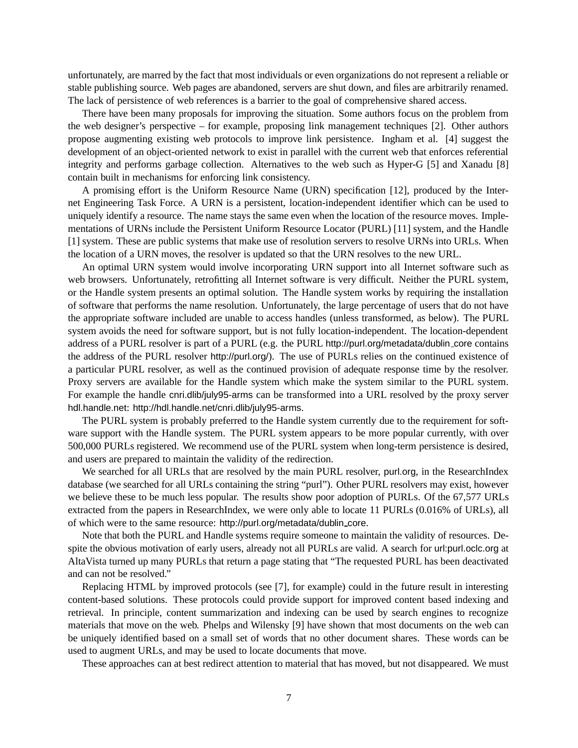unfortunately, are marred by the fact that most individuals or even organizations do not represent a reliable or stable publishing source. Web pages are abandoned, servers are shut down, and files are arbitrarily renamed. The lack of persistence of web references is a barrier to the goal of comprehensive shared access.

There have been many proposals for improving the situation. Some authors focus on the problem from the web designer's perspective – for example, proposing link management techniques [2]. Other authors propose augmenting existing web protocols to improve link persistence. Ingham et al. [4] suggest the development of an object-oriented network to exist in parallel with the current web that enforces referential integrity and performs garbage collection. Alternatives to the web such as Hyper-G [5] and Xanadu [8] contain built in mechanisms for enforcing link consistency.

A promising effort is the Uniform Resource Name (URN) specification [12], produced by the Internet Engineering Task Force. A URN is a persistent, location-independent identifier which can be used to uniquely identify a resource. The name stays the same even when the location of the resource moves. Implementations of URNs include the Persistent Uniform Resource Locator (PURL) [11] system, and the Handle [1] system. These are public systems that make use of resolution servers to resolve URNs into URLs. When the location of a URN moves, the resolver is updated so that the URN resolves to the new URL.

An optimal URN system would involve incorporating URN support into all Internet software such as web browsers. Unfortunately, retrofitting all Internet software is very difficult. Neither the PURL system, or the Handle system presents an optimal solution. The Handle system works by requiring the installation of software that performs the name resolution. Unfortunately, the large percentage of users that do not have the appropriate software included are unable to access handles (unless transformed, as below). The PURL system avoids the need for software support, but is not fully location-independent. The location-dependent address of a PURL resolver is part of a PURL (e.g. the PURL http://purl.org/metadata/dublin core contains the address of the PURL resolver http://purl.org/). The use of PURLs relies on the continued existence of a particular PURL resolver, as well as the continued provision of adequate response time by the resolver. Proxy servers are available for the Handle system which make the system similar to the PURL system. For example the handle cnri.dlib/july95-arms can be transformed into a URL resolved by the proxy server hdl.handle.net: http://hdl.handle.net/cnri.dlib/july95-arms.

The PURL system is probably preferred to the Handle system currently due to the requirement for software support with the Handle system. The PURL system appears to be more popular currently, with over 500,000 PURLs registered. We recommend use of the PURL system when long-term persistence is desired, and users are prepared to maintain the validity of the redirection.

We searched for all URLs that are resolved by the main PURL resolver, purl.org, in the ResearchIndex database (we searched for all URLs containing the string "purl"). Other PURL resolvers may exist, however we believe these to be much less popular. The results show poor adoption of PURLs. Of the 67,577 URLs extracted from the papers in ResearchIndex, we were only able to locate 11 PURLs (0.016% of URLs), all of which were to the same resource: http://purl.org/metadata/dublin core.

Note that both the PURL and Handle systems require someone to maintain the validity of resources. Despite the obvious motivation of early users, already not all PURLs are valid. A search for url:purl.oclc.org at AltaVista turned up many PURLs that return a page stating that "The requested PURL has been deactivated and can not be resolved."

Replacing HTML by improved protocols (see [7], for example) could in the future result in interesting content-based solutions. These protocols could provide support for improved content based indexing and retrieval. In principle, content summarization and indexing can be used by search engines to recognize materials that move on the web. Phelps and Wilensky [9] have shown that most documents on the web can be uniquely identified based on a small set of words that no other document shares. These words can be used to augment URLs, and may be used to locate documents that move.

These approaches can at best redirect attention to material that has moved, but not disappeared. We must